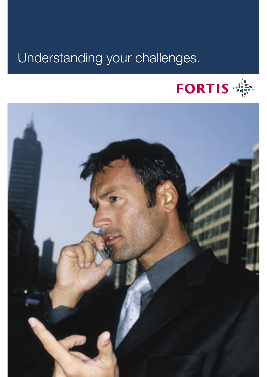# Understanding your challenges.



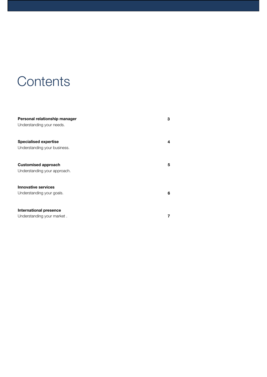## **Contents**

| Personal relationship manager | 3 |
|-------------------------------|---|
| Understanding your needs.     |   |
| <b>Specialised expertise</b>  | 4 |
| Understanding your business.  |   |
| <b>Customised approach</b>    | 5 |
| Understanding your approach.  |   |
| <b>Innovative services</b>    |   |
| Understanding your goals.     | 6 |
| <b>International presence</b> |   |
| Understanding your market.    |   |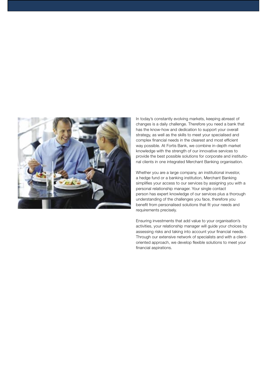

In today's constantly evolving markets, keeping abreast of changes is a daily challenge. Therefore you need a bank that has the know-how and dedication to support your overall strategy, as well as the skills to meet your specialised and complex financial needs in the clearest and most efficient way possible. At Fortis Bank, we combine in-depth market knowledge with the strength of our innovative services to provide the best possible solutions for corporate and institutional clients in one integrated Merchant Banking organisation.

Whether you are a large company, an institutional investor, a hedge fund or a banking institution, Merchant Banking simplifies your access to our services by assigning you with a personal relationship manager. Your single contact person has expert knowledge of our services plus a thorough understanding of the challenges you face, therefore you benefit from personalised solutions that fit your needs and requirements precisely.

Ensuring investments that add value to your organisation's activities, your relationship manager will guide your choices by assessing risks and taking into account your financial needs. Through our extensive network of specialists and with a clientoriented approach, we develop flexible solutions to meet your financial aspirations.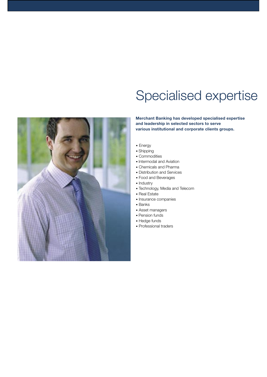# Specialised expertise

**Merchant Banking has developed specialised expertise and leadership in selected sectors to serve various institutional and corporate clients groups.**



- Shipping
- Commodities
- Intermodal and Aviation
- Chemicals and Pharma
- Distribution and Services
- Food and Beverages
- Industry
- Technology, Media and Telecom
- Real Estate
- Insurance companies
- Banks
- Asset managers
- Pension funds
- Hedge funds
- Professional traders

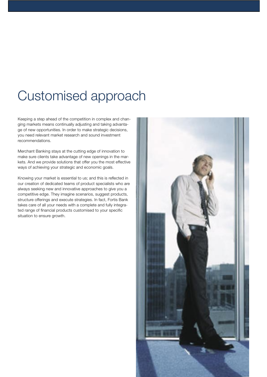### Customised approach

Keeping a step ahead of the competition in complex and changing markets means continually adjusting and taking advantage of new opportunities. In order to make strategic decisions, you need relevant market research and sound investment recommendations.

Merchant Banking stays at the cutting edge of innovation to make sure clients take advantage of new openings in the markets. And we provide solutions that offer you the most effective ways of achieving your strategic and economic goals.

Knowing your market is essential to us; and this is reflected in our creation of dedicated teams of product specialists who are always seeking new and innovative approaches to give you a competitive edge. They imagine scenarios, suggest products, structure offerings and execute strategies. In fact, Fortis Bank takes care of all your needs with a complete and fully integrated range of financial products customised to your specific situation to ensure growth.

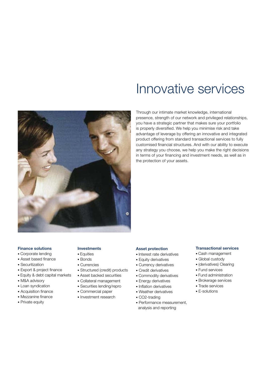

### Innovative services

Through our intimate market knowledge, international presence, strength of our network and privileged relationships, you have a strategic partner that makes sure your portfolio is properly diversified. We help you minimise risk and take advantage of leverage by offering an innovative and integrated product offering from standard transactional services to fully customised financial structures. And with our ability to execute any strategy you choose, we help you make the right decisions in terms of your financing and investment needs, as well as in the protection of your assets.

#### **Finance solutions**

- Corporate lending
- Asset based finance
- Securitization
- Export & project finance
- Equity & debt capital markets
- M&A advisory
- Loan syndication
- Acquisition finance
- Mezzanine finance
- Private equity

#### **Investments**

- Equities
- Bonds
- Currencies
- Structured (credit) products
- Asset backed securities
- Collateral management
- Securities lending/repro
- Commercial paper
- Investment research

#### **Asset protection**

- Interest rate derivatives
- Equity derivatives
- Currency derivatives
- Credit derivatives
- Commodity derivatives
- Energy derivatives
- Inflation derivatives
- Weather derivatives
- CO2-trading
- Performance measurement, analysis and reporting

#### **Transactional services**

- Cash management
- Global custody
- (derivatives) Clearing
- Fund services
- Fund administration
- Brokerage services
- Trade services
- E-solutions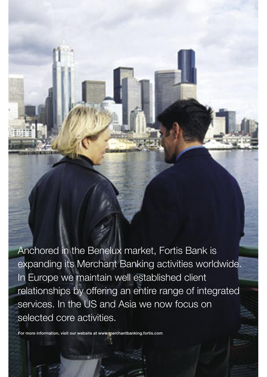Anchored in the Benelux market, Fortis Bank is expanding its Merchant Banking activities worldwide. In Europe we maintain well established client relationships by offering an entire range of integrated services. In the US and Asia we now focus on selected core activities.

For more information, visit our website at www.merchantbanking.fortis.com